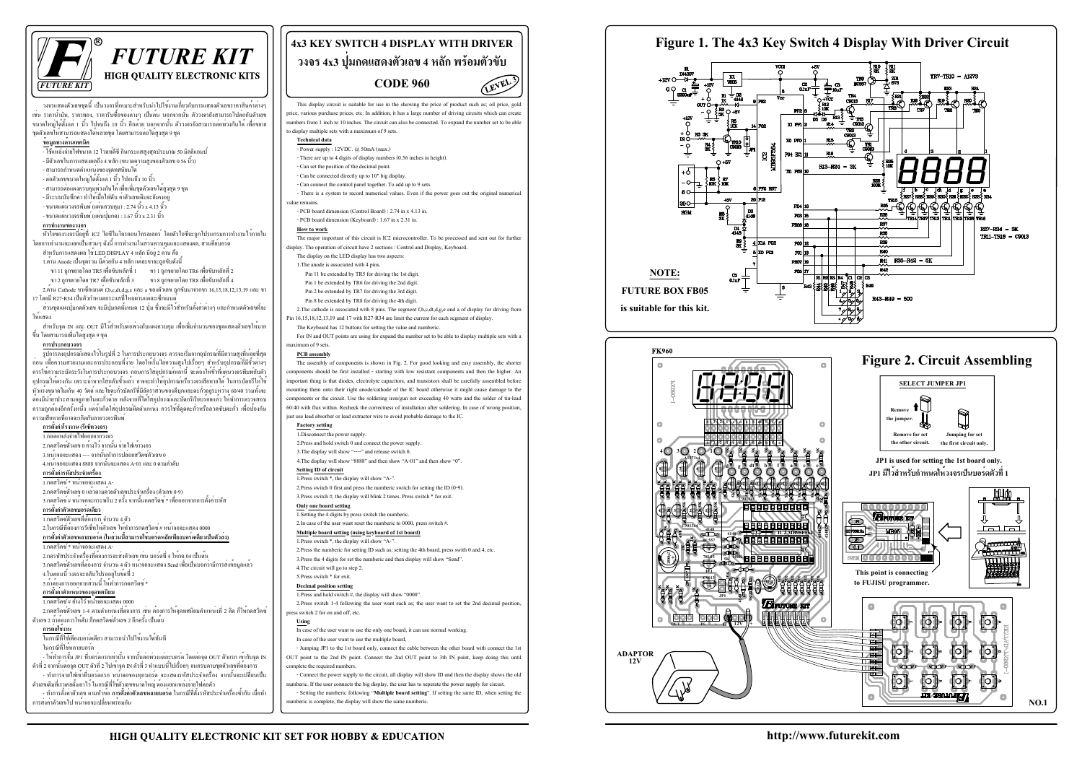



**http://www.futurekit.com**



**C9013x8**

**J**

**+ 10**

X1 PF1

P64 EC1

**CC**<br>NEBSEF5

PF2 RST -20 Pra  $\vert$ <sub>4148</sub>

 $4$  XIA PG2

ilxo par